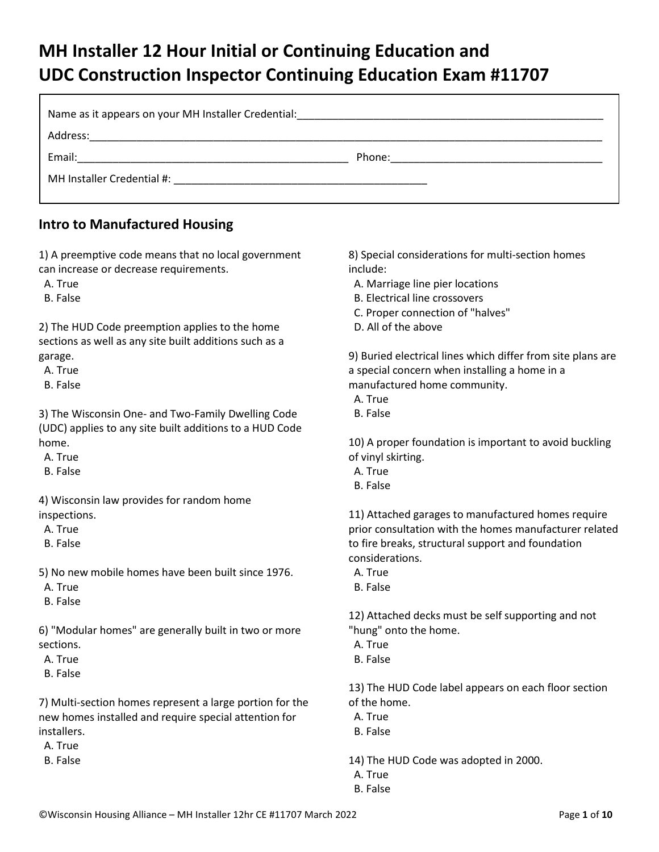# **MH Installer 12 Hour Initial or Continuing Education and UDC Construction Inspector Continuing Education Exam #11707**

| Phone: |
|--------|
|        |
|        |

### **Intro to Manufactured Housing**

1) A preemptive code means that no local government can increase or decrease requirements.

A. True

B. False

2) The HUD Code preemption applies to the home sections as well as any site built additions such as a garage.

A. True

B. False

3) The Wisconsin One- and Two-Family Dwelling Code (UDC) applies to any site built additions to a HUD Code home.

A. True

B. False

4) Wisconsin law provides for random home inspections.

A. True

B. False

5) No new mobile homes have been built since 1976.

A. True

B. False

6) "Modular homes" are generally built in two or more sections.

A. True

B. False

7) Multi-section homes represent a large portion for the new homes installed and require special attention for installers.

A. True

B. False

8) Special considerations for multi-section homes include:

- A. Marriage line pier locations
- B. Electrical line crossovers
- C. Proper connection of "halves"
- D. All of the above

9) Buried electrical lines which differ from site plans are a special concern when installing a home in a manufactured home community.

- A. True
- B. False

10) A proper foundation is important to avoid buckling of vinyl skirting.

- A. True
- B. False

11) Attached garages to manufactured homes require prior consultation with the homes manufacturer related to fire breaks, structural support and foundation considerations.

- A. True
- B. False

12) Attached decks must be self supporting and not "hung" onto the home.

- A. True
- B. False

13) The HUD Code label appears on each floor section of the home.

- A. True
- B. False

14) The HUD Code was adopted in 2000.

- A. True
- B. False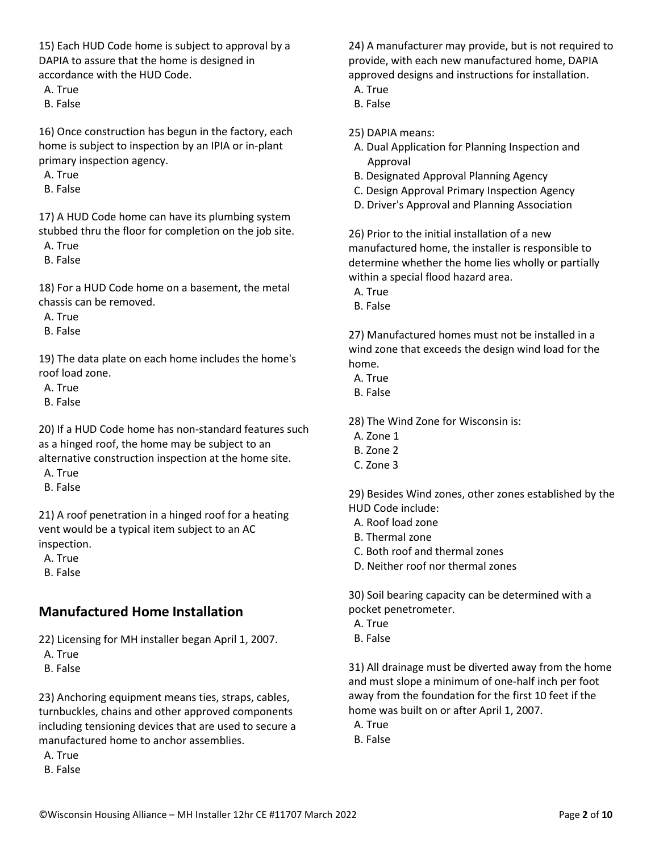15) Each HUD Code home is subject to approval by a DAPIA to assure that the home is designed in accordance with the HUD Code.

A. True

B. False

16) Once construction has begun in the factory, each home is subject to inspection by an IPIA or in-plant primary inspection agency.

A. True

B. False

17) A HUD Code home can have its plumbing system stubbed thru the floor for completion on the job site.

A. True

B. False

18) For a HUD Code home on a basement, the metal chassis can be removed.

A. True

B. False

19) The data plate on each home includes the home's roof load zone.

A. True

B. False

20) If a HUD Code home has non-standard features such as a hinged roof, the home may be subject to an alternative construction inspection at the home site.

A. True

B. False

21) A roof penetration in a hinged roof for a heating vent would be a typical item subject to an AC inspection.

A. True

B. False

### **Manufactured Home Installation**

22) Licensing for MH installer began April 1, 2007.

A. True

B. False

23) Anchoring equipment means ties, straps, cables, turnbuckles, chains and other approved components including tensioning devices that are used to secure a manufactured home to anchor assemblies.

A. True

B. False

24) A manufacturer may provide, but is not required to provide, with each new manufactured home, DAPIA approved designs and instructions for installation.

A. True

B. False

25) DAPIA means:

- A. Dual Application for Planning Inspection and Approval
- B. Designated Approval Planning Agency
- C. Design Approval Primary Inspection Agency
- D. Driver's Approval and Planning Association

26) Prior to the initial installation of a new manufactured home, the installer is responsible to determine whether the home lies wholly or partially within a special flood hazard area.

A. True

B. False

27) Manufactured homes must not be installed in a wind zone that exceeds the design wind load for the home.

A. True

B. False

28) The Wind Zone for Wisconsin is:

- A. Zone 1
- B. Zone 2
- C. Zone 3

29) Besides Wind zones, other zones established by the HUD Code include:

- A. Roof load zone
- B. Thermal zone
- C. Both roof and thermal zones
- D. Neither roof nor thermal zones

30) Soil bearing capacity can be determined with a pocket penetrometer.

- A. True
- B. False

31) All drainage must be diverted away from the home and must slope a minimum of one-half inch per foot away from the foundation for the first 10 feet if the home was built on or after April 1, 2007.

A. True

B. False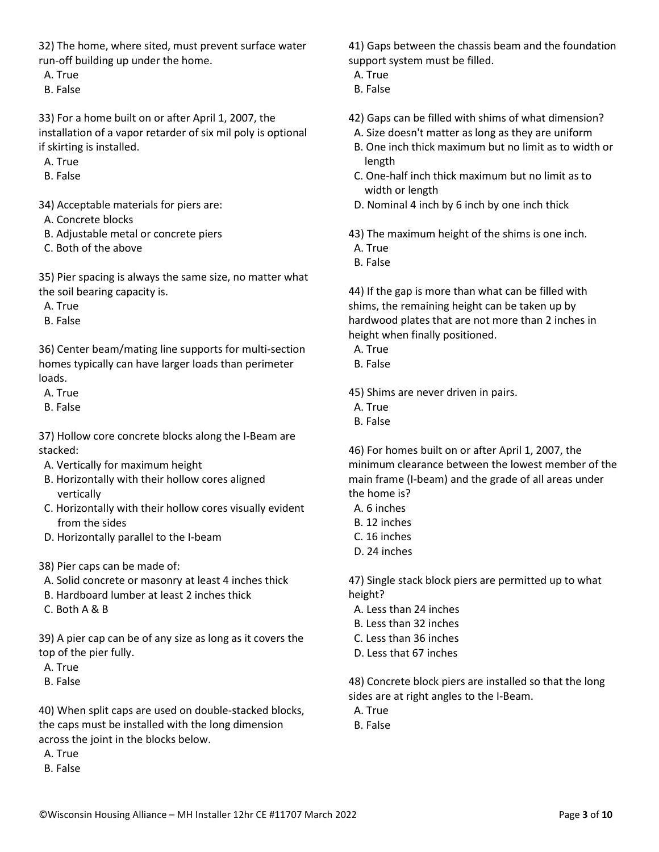32) The home, where sited, must prevent surface water run-off building up under the home.

- A. True
- B. False

33) For a home built on or after April 1, 2007, the installation of a vapor retarder of six mil poly is optional if skirting is installed.

- A. True
- B. False

34) Acceptable materials for piers are:

- A. Concrete blocks
- B. Adjustable metal or concrete piers
- C. Both of the above

35) Pier spacing is always the same size, no matter what the soil bearing capacity is.

- A. True
- B. False

36) Center beam/mating line supports for multi-section homes typically can have larger loads than perimeter loads.

- A. True
- B. False

37) Hollow core concrete blocks along the I-Beam are stacked:

- A. Vertically for maximum height
- B. Horizontally with their hollow cores aligned vertically
- C. Horizontally with their hollow cores visually evident from the sides
- D. Horizontally parallel to the I-beam
- 38) Pier caps can be made of:
- A. Solid concrete or masonry at least 4 inches thick
- B. Hardboard lumber at least 2 inches thick
- C. Both A & B

39) A pier cap can be of any size as long as it covers the top of the pier fully.

- A. True
- B. False

40) When split caps are used on double-stacked blocks, the caps must be installed with the long dimension across the joint in the blocks below.

- A. True
- B. False

41) Gaps between the chassis beam and the foundation support system must be filled.

- A. True
- B. False
- 42) Gaps can be filled with shims of what dimension?
- A. Size doesn't matter as long as they are uniform
- B. One inch thick maximum but no limit as to width or length
- C. One-half inch thick maximum but no limit as to width or length
- D. Nominal 4 inch by 6 inch by one inch thick
- 43) The maximum height of the shims is one inch.
- A. True
- B. False

44) If the gap is more than what can be filled with shims, the remaining height can be taken up by hardwood plates that are not more than 2 inches in height when finally positioned.

- A. True
- B. False

45) Shims are never driven in pairs.

- A. True
- B. False

46) For homes built on or after April 1, 2007, the minimum clearance between the lowest member of the main frame (I-beam) and the grade of all areas under the home is?

- A. 6 inches
- B. 12 inches
- C. 16 inches
- D. 24 inches

47) Single stack block piers are permitted up to what height?

- A. Less than 24 inches
- B. Less than 32 inches
- C. Less than 36 inches
- D. Less that 67 inches

48) Concrete block piers are installed so that the long sides are at right angles to the I-Beam.

- A. True
- B. False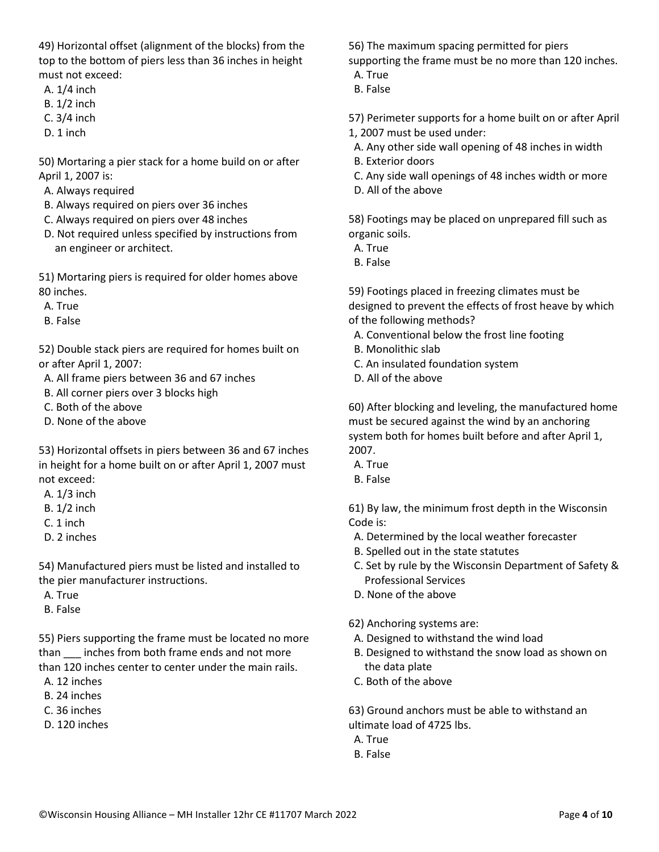49) Horizontal offset (alignment of the blocks) from the top to the bottom of piers less than 36 inches in height must not exceed:

- A. 1/4 inch
- B. 1/2 inch
- C. 3/4 inch
- D. 1 inch

50) Mortaring a pier stack for a home build on or after April 1, 2007 is:

A. Always required

- B. Always required on piers over 36 inches
- C. Always required on piers over 48 inches
- D. Not required unless specified by instructions from an engineer or architect.

51) Mortaring piers is required for older homes above 80 inches.

- A. True
- B. False

52) Double stack piers are required for homes built on or after April 1, 2007:

A. All frame piers between 36 and 67 inches

- B. All corner piers over 3 blocks high
- C. Both of the above
- D. None of the above

53) Horizontal offsets in piers between 36 and 67 inches in height for a home built on or after April 1, 2007 must not exceed:

- A. 1/3 inch
- B. 1/2 inch
- C. 1 inch
- D. 2 inches

54) Manufactured piers must be listed and installed to the pier manufacturer instructions.

- A. True
- B. False

55) Piers supporting the frame must be located no more than \_\_\_ inches from both frame ends and not more than 120 inches center to center under the main rails.

- A. 12 inches
- B. 24 inches
- C. 36 inches
- D. 120 inches

56) The maximum spacing permitted for piers supporting the frame must be no more than 120 inches.

- A. True
- B. False

57) Perimeter supports for a home built on or after April 1, 2007 must be used under:

- A. Any other side wall opening of 48 inches in width
- B. Exterior doors
- C. Any side wall openings of 48 inches width or more
- D. All of the above

58) Footings may be placed on unprepared fill such as organic soils.

- A. True
- B. False

59) Footings placed in freezing climates must be designed to prevent the effects of frost heave by which of the following methods?

- A. Conventional below the frost line footing
- B. Monolithic slab
- C. An insulated foundation system
- D. All of the above

60) After blocking and leveling, the manufactured home must be secured against the wind by an anchoring system both for homes built before and after April 1, 2007.

- A. True
- B. False

61) By law, the minimum frost depth in the Wisconsin Code is:

- A. Determined by the local weather forecaster
- B. Spelled out in the state statutes
- C. Set by rule by the Wisconsin Department of Safety & Professional Services
- D. None of the above

#### 62) Anchoring systems are:

- A. Designed to withstand the wind load
- B. Designed to withstand the snow load as shown on the data plate
- C. Both of the above

63) Ground anchors must be able to withstand an ultimate load of 4725 lbs.

- A. True
- B. False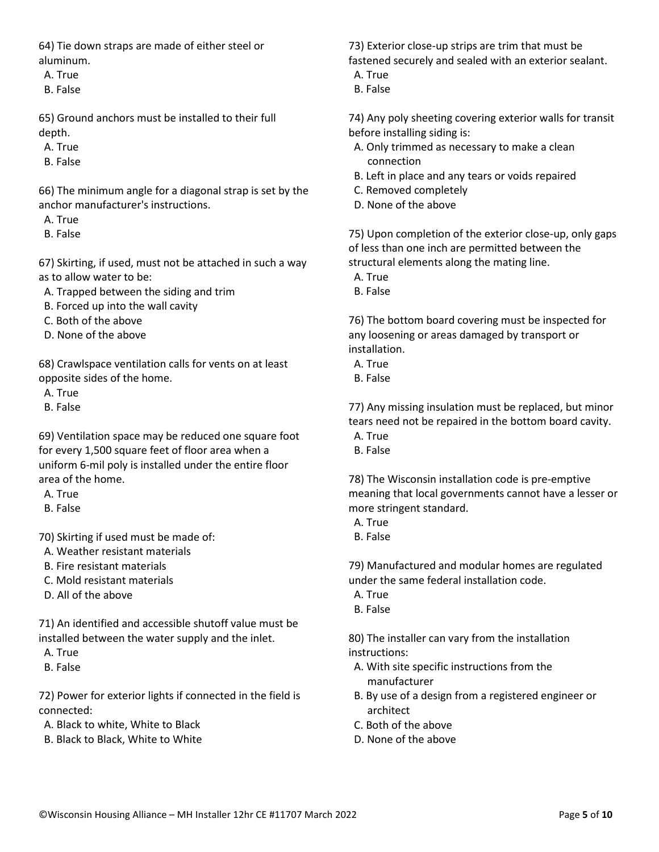64) Tie down straps are made of either steel or aluminum.

A. True

B. False

65) Ground anchors must be installed to their full depth.

- A. True
- B. False

66) The minimum angle for a diagonal strap is set by the anchor manufacturer's instructions.

- A. True
- B. False

67) Skirting, if used, must not be attached in such a way as to allow water to be:

- A. Trapped between the siding and trim
- B. Forced up into the wall cavity
- C. Both of the above
- D. None of the above

68) Crawlspace ventilation calls for vents on at least opposite sides of the home.

- A. True
- B. False

69) Ventilation space may be reduced one square foot for every 1,500 square feet of floor area when a uniform 6-mil poly is installed under the entire floor area of the home.

- A. True
- B. False
- 70) Skirting if used must be made of:
- A. Weather resistant materials
- B. Fire resistant materials
- C. Mold resistant materials
- D. All of the above

71) An identified and accessible shutoff value must be installed between the water supply and the inlet.

- A. True
- B. False

72) Power for exterior lights if connected in the field is connected:

- A. Black to white, White to Black
- B. Black to Black, White to White

73) Exterior close-up strips are trim that must be fastened securely and sealed with an exterior sealant.

- A. True
- B. False

74) Any poly sheeting covering exterior walls for transit before installing siding is:

- A. Only trimmed as necessary to make a clean connection
- B. Left in place and any tears or voids repaired
- C. Removed completely
- D. None of the above

75) Upon completion of the exterior close-up, only gaps of less than one inch are permitted between the structural elements along the mating line.

- A. True
- B. False

76) The bottom board covering must be inspected for any loosening or areas damaged by transport or installation.

- A. True
- B. False

77) Any missing insulation must be replaced, but minor tears need not be repaired in the bottom board cavity.

- A. True
- B. False

78) The Wisconsin installation code is pre-emptive meaning that local governments cannot have a lesser or more stringent standard.

- A. True
- B. False

79) Manufactured and modular homes are regulated under the same federal installation code.

- A. True
- B. False

80) The installer can vary from the installation instructions:

- A. With site specific instructions from the manufacturer
- B. By use of a design from a registered engineer or architect
- C. Both of the above
- D. None of the above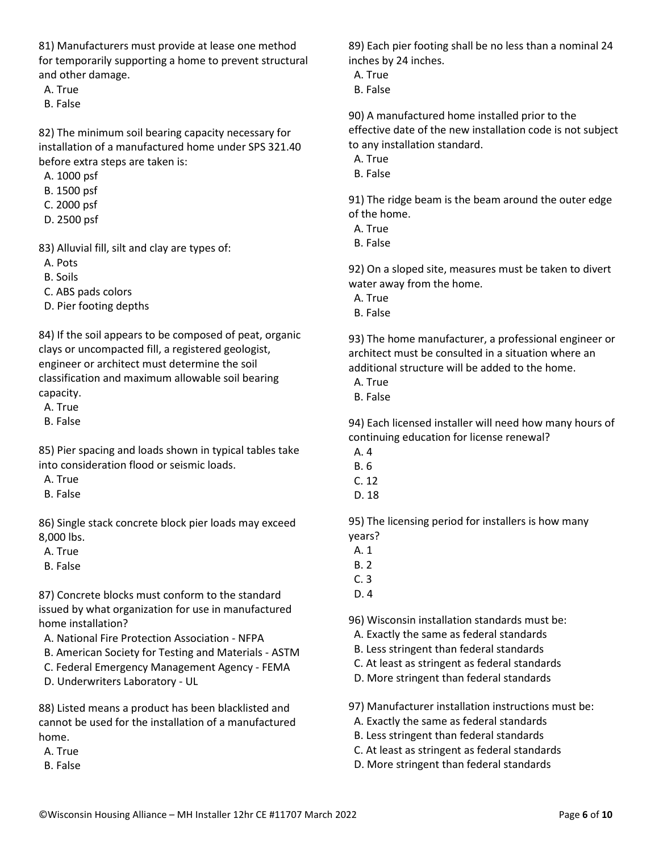81) Manufacturers must provide at lease one method for temporarily supporting a home to prevent structural and other damage.

A. True

B. False

82) The minimum soil bearing capacity necessary for installation of a manufactured home under SPS 321.40 before extra steps are taken is:

A. 1000 psf

- B. 1500 psf
- C. 2000 psf
- D. 2500 psf

83) Alluvial fill, silt and clay are types of:

A. Pots

B. Soils

C. ABS pads colors

D. Pier footing depths

84) If the soil appears to be composed of peat, organic clays or uncompacted fill, a registered geologist, engineer or architect must determine the soil classification and maximum allowable soil bearing capacity.

A. True

B. False

85) Pier spacing and loads shown in typical tables take into consideration flood or seismic loads.

A. True

B. False

86) Single stack concrete block pier loads may exceed 8,000 lbs.

A. True

B. False

87) Concrete blocks must conform to the standard issued by what organization for use in manufactured home installation?

- A. National Fire Protection Association NFPA
- B. American Society for Testing and Materials ASTM
- C. Federal Emergency Management Agency FEMA
- D. Underwriters Laboratory UL

88) Listed means a product has been blacklisted and cannot be used for the installation of a manufactured home.

A. True

B. False

89) Each pier footing shall be no less than a nominal 24 inches by 24 inches.

- A. True
- B. False

90) A manufactured home installed prior to the effective date of the new installation code is not subject to any installation standard.

- A. True
- B. False

91) The ridge beam is the beam around the outer edge of the home.

- A. True
- B. False

92) On a sloped site, measures must be taken to divert water away from the home.

- A. True
- B. False

93) The home manufacturer, a professional engineer or architect must be consulted in a situation where an additional structure will be added to the home.

- A. True
- B. False

94) Each licensed installer will need how many hours of continuing education for license renewal?

- A. 4
- B. 6
- C. 12
- D. 18

95) The licensing period for installers is how many years?

- A. 1
- B. 2
- C. 3
- D. 4

96) Wisconsin installation standards must be:

- A. Exactly the same as federal standards
- B. Less stringent than federal standards
- C. At least as stringent as federal standards
- D. More stringent than federal standards

97) Manufacturer installation instructions must be:

- A. Exactly the same as federal standards
- B. Less stringent than federal standards
- C. At least as stringent as federal standards
- D. More stringent than federal standards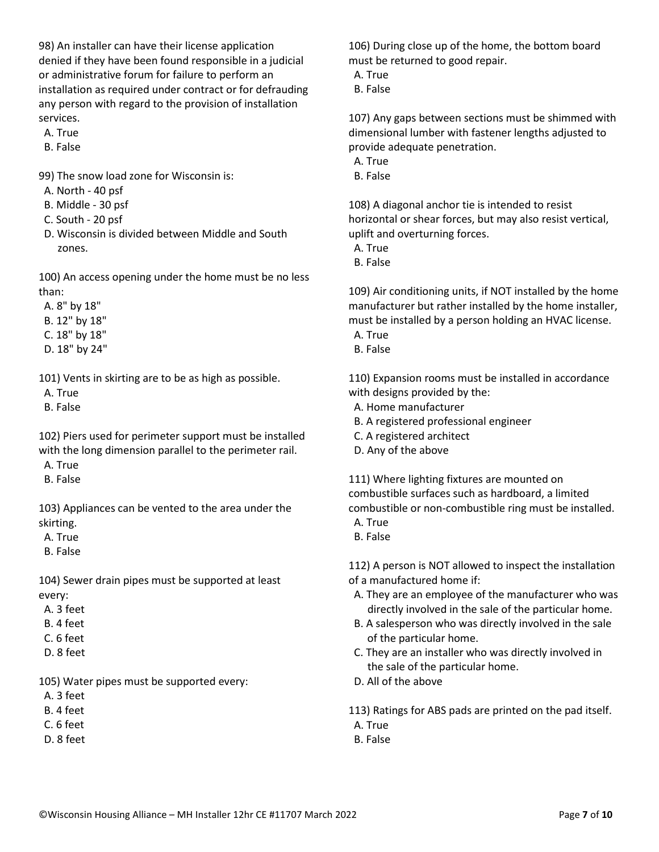98) An installer can have their license application denied if they have been found responsible in a judicial or administrative forum for failure to perform an installation as required under contract or for defrauding any person with regard to the provision of installation services.

- A. True
- B. False
- 99) The snow load zone for Wisconsin is:
- A. North 40 psf
- B. Middle 30 psf
- C. South 20 psf
- D. Wisconsin is divided between Middle and South zones.

100) An access opening under the home must be no less than:

A. 8" by 18"

- B. 12" by 18"
- C. 18" by 18"
- D. 18" by 24"

101) Vents in skirting are to be as high as possible.

- A. True
- B. False

102) Piers used for perimeter support must be installed with the long dimension parallel to the perimeter rail.

- A. True
- B. False

103) Appliances can be vented to the area under the skirting.

A. True

B. False

104) Sewer drain pipes must be supported at least every:

- A. 3 feet
- B. 4 feet
- C. 6 feet
- D. 8 feet

105) Water pipes must be supported every:

- A. 3 feet
- B. 4 feet
- C. 6 feet
- D. 8 feet

106) During close up of the home, the bottom board must be returned to good repair.

- A. True
- B. False

107) Any gaps between sections must be shimmed with dimensional lumber with fastener lengths adjusted to provide adequate penetration.

- A. True
- B. False

108) A diagonal anchor tie is intended to resist horizontal or shear forces, but may also resist vertical, uplift and overturning forces.

- A. True
- B. False

109) Air conditioning units, if NOT installed by the home manufacturer but rather installed by the home installer, must be installed by a person holding an HVAC license.

- A. True
- B. False

110) Expansion rooms must be installed in accordance with designs provided by the:

- A. Home manufacturer
- B. A registered professional engineer
- C. A registered architect
- D. Any of the above

111) Where lighting fixtures are mounted on combustible surfaces such as hardboard, a limited combustible or non-combustible ring must be installed.

- A. True
- B. False

112) A person is NOT allowed to inspect the installation of a manufactured home if:

- A. They are an employee of the manufacturer who was directly involved in the sale of the particular home.
- B. A salesperson who was directly involved in the sale of the particular home.
- C. They are an installer who was directly involved in the sale of the particular home.
- D. All of the above

113) Ratings for ABS pads are printed on the pad itself.

- A. True
- B. False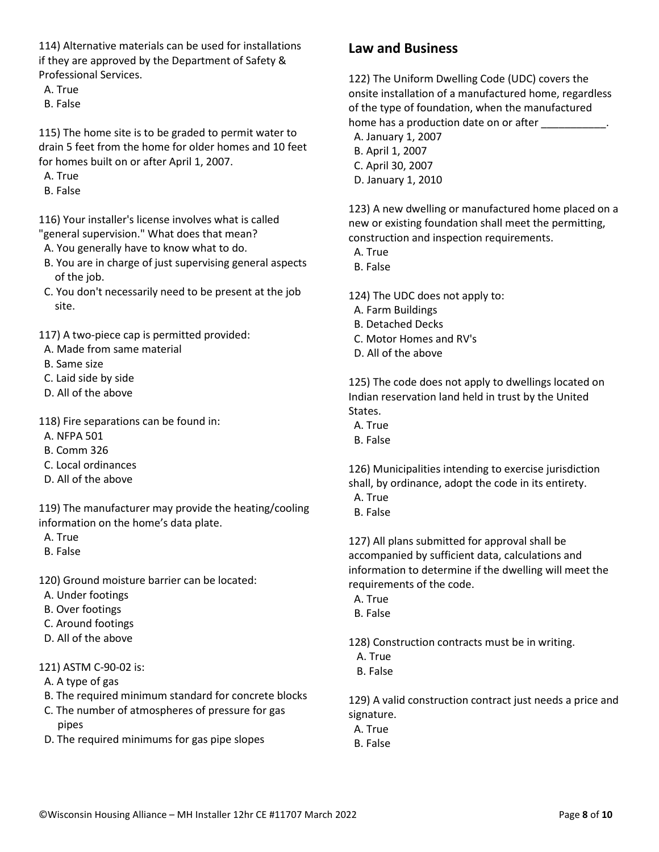114) Alternative materials can be used for installations if they are approved by the Department of Safety & Professional Services.

A. True

B. False

115) The home site is to be graded to permit water to drain 5 feet from the home for older homes and 10 feet for homes built on or after April 1, 2007.

A. True

B. False

116) Your installer's license involves what is called "general supervision." What does that mean?

A. You generally have to know what to do.

- B. You are in charge of just supervising general aspects of the job.
- C. You don't necessarily need to be present at the job site.

117) A two-piece cap is permitted provided:

- A. Made from same material
- B. Same size
- C. Laid side by side
- D. All of the above

118) Fire separations can be found in:

- A. NFPA 501
- B. Comm 326
- C. Local ordinances
- D. All of the above

119) The manufacturer may provide the heating/cooling information on the home's data plate.

- A. True
- B. False

120) Ground moisture barrier can be located:

- A. Under footings
- B. Over footings
- C. Around footings
- D. All of the above

121) ASTM C-90-02 is:

- A. A type of gas
- B. The required minimum standard for concrete blocks
- C. The number of atmospheres of pressure for gas pipes
- D. The required minimums for gas pipe slopes

### **Law and Business**

122) The Uniform Dwelling Code (UDC) covers the onsite installation of a manufactured home, regardless of the type of foundation, when the manufactured home has a production date on or after  $\qquad \qquad$ .

- A. January 1, 2007
- B. April 1, 2007 C. April 30, 2007
- D. January 1, 2010

123) A new dwelling or manufactured home placed on a new or existing foundation shall meet the permitting, construction and inspection requirements.

- A. True
- B. False

124) The UDC does not apply to:

- A. Farm Buildings
- B. Detached Decks
- C. Motor Homes and RV's
- D. All of the above

125) The code does not apply to dwellings located on Indian reservation land held in trust by the United States.

- A. True
- B. False

126) Municipalities intending to exercise jurisdiction shall, by ordinance, adopt the code in its entirety.

- A. True
- B. False

127) All plans submitted for approval shall be accompanied by sufficient data, calculations and information to determine if the dwelling will meet the requirements of the code.

- A. True
- B. False

128) Construction contracts must be in writing.

- A. True
- B. False

129) A valid construction contract just needs a price and signature.

- A. True
- B. False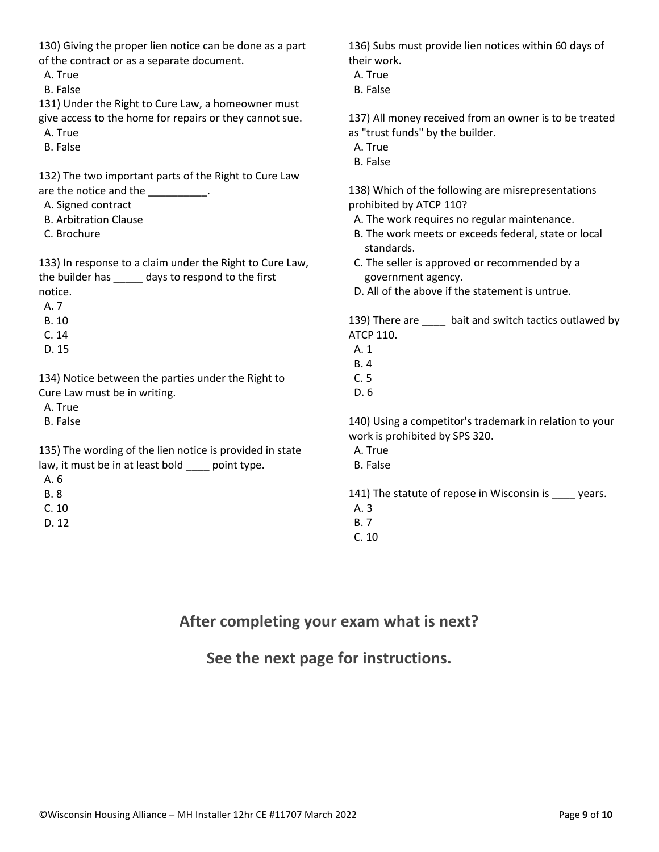| 130) Giving the proper lien notice can be done as a part |
|----------------------------------------------------------|
| of the contract or as a separate document.               |

A. True

B. False

131) Under the Right to Cure Law, a homeowner must give access to the home for repairs or they cannot sue. A. True

B. False

132) The two important parts of the Right to Cure Law are the notice and the \_\_\_\_\_\_\_\_\_\_.

- A. Signed contract
- B. Arbitration Clause
- C. Brochure

133) In response to a claim under the Right to Cure Law, the builder has \_\_\_\_\_ days to respond to the first notice.

A. 7

- B. 10
- C. 14
- D. 15

134) Notice between the parties under the Right to Cure Law must be in writing.

A. True

B. False

135) The wording of the lien notice is provided in state law, it must be in at least bold \_\_\_\_ point type.

A. 6

- B. 8
- C. 10
- D. 12

136) Subs must provide lien notices within 60 days of their work.

- A. True
- B. False

137) All money received from an owner is to be treated as "trust funds" by the builder.

- A. True
- B. False

138) Which of the following are misrepresentations prohibited by ATCP 110?

- A. The work requires no regular maintenance.
- B. The work meets or exceeds federal, state or local standards.
- C. The seller is approved or recommended by a government agency.
- D. All of the above if the statement is untrue.

139) There are \_\_\_\_ bait and switch tactics outlawed by ATCP 110.

- A. 1
- B. 4
- C. 5

D. 6

140) Using a competitor's trademark in relation to your work is prohibited by SPS 320.

- A. True
- B. False

141) The statute of repose in Wisconsin is \_\_\_\_ years.

- A. 3
- B. 7

C. 10

### **After completing your exam what is next?**

**See the next page for instructions.**